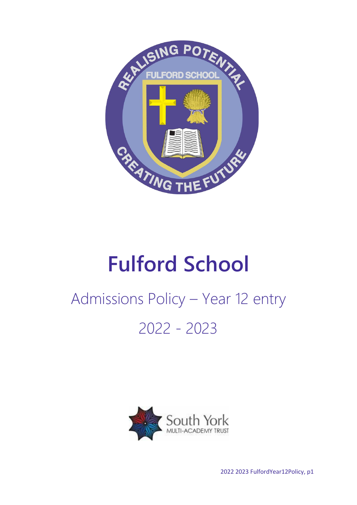

# **Fulford School**

# Admissions Policy – Year 12 entry 2022 - 2023



2022 2023 FulfordYear12Policy, p1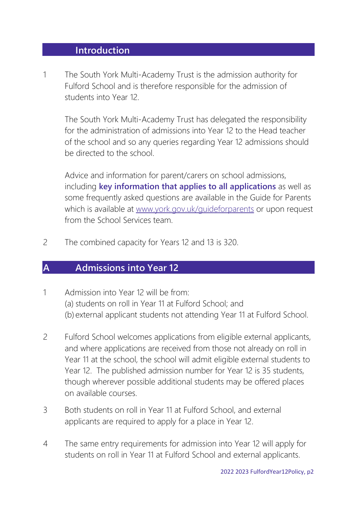#### **Introduction**

1 The South York Multi-Academy Trust is the admission authority for Fulford School and is therefore responsible for the admission of students into Year 12.

The South York Multi-Academy Trust has delegated the responsibility for the administration of admissions into Year 12 to the Head teacher of the school and so any queries regarding Year 12 admissions should be directed to the school.

Advice and information for parent/carers on school admissions, including **key information that applies to all applications** as well as some frequently asked questions are available in the Guide for Parents which is available at [www.york.gov.uk/guideforparents](http://www.york.gov.uk/guideforparents) or upon request from the School Services team.

2 The combined capacity for Years 12 and 13 is 320.

### **A Admissions into Year 12**

- 1 Admission into Year 12 will be from: (a) students on roll in Year 11 at Fulford School; and (b) external applicant students not attending Year 11 at Fulford School.
- 2 Fulford School welcomes applications from eligible external applicants, and where applications are received from those not already on roll in Year 11 at the school, the school will admit eligible external students to Year 12. The published admission number for Year 12 is 35 students, though wherever possible additional students may be offered places on available courses.
- 3 Both students on roll in Year 11 at Fulford School, and external applicants are required to apply for a place in Year 12.
- 4 The same entry requirements for admission into Year 12 will apply for students on roll in Year 11 at Fulford School and external applicants.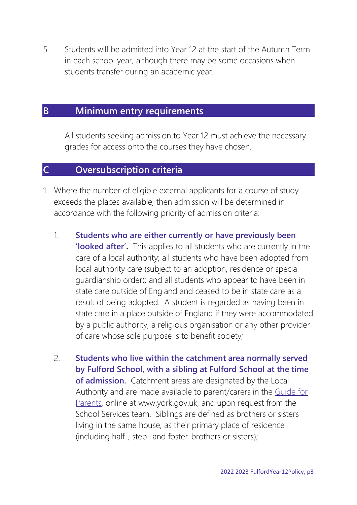5 Students will be admitted into Year 12 at the start of the Autumn Term in each school year, although there may be some occasions when students transfer during an academic year.

## **B Minimum entry requirements**

All students seeking admission to Year 12 must achieve the necessary grades for access onto the courses they have chosen.

## **C Oversubscription criteria**

- 1 Where the number of eligible external applicants for a course of study exceeds the places available, then admission will be determined in accordance with the following priority of admission criteria:
	- 1. **Students who are either currently or have previously been 'looked after'.** This applies to all students who are currently in the care of a local authority; all students who have been adopted from local authority care (subject to an adoption, residence or special guardianship order); and all students who appear to have been in state care outside of England and ceased to be in state care as a result of being adopted. A student is regarded as having been in state care in a place outside of England if they were accommodated by a public authority, a religious organisation or any other provider of care whose sole purpose is to benefit society;
	- 2. **Students who live within the catchment area normally served by Fulford School, with a sibling at Fulford School at the time of admission.** Catchment areas are designated by the Local Authority and are made available to parent/carers in the [Guide for](http://www.york.gov.uk/guideforparents)  [Parents,](http://www.york.gov.uk/guideforparents) online at www.york.gov.uk, and upon request from the School Services team. Siblings are defined as brothers or sisters living in the same house, as their primary place of residence (including half-, step- and foster-brothers or sisters);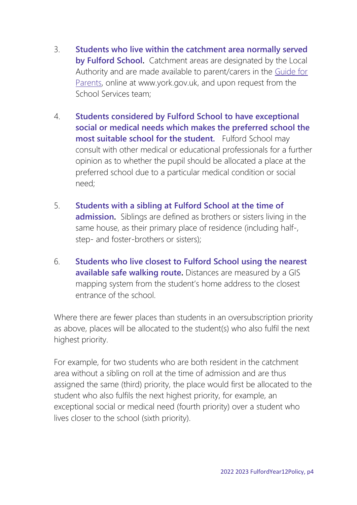- 3. **Students who live within the catchment area normally served by Fulford School.** Catchment areas are designated by the Local Authority and are made available to parent/carers in the [Guide for](http://www.york.gov.uk/guideforparents)  [Parents,](http://www.york.gov.uk/guideforparents) online at www.york.gov.uk, and upon request from the School Services team;
- 4. **Students considered by Fulford School to have exceptional social or medical needs which makes the preferred school the most suitable school for the student.** Fulford School may consult with other medical or educational professionals for a further opinion as to whether the pupil should be allocated a place at the preferred school due to a particular medical condition or social need;
- 5. **Students with a sibling at Fulford School at the time of admission.** Siblings are defined as brothers or sisters living in the same house, as their primary place of residence (including half-, step- and foster-brothers or sisters);
- 6. **Students who live closest to Fulford School using the nearest available safe walking route.** Distances are measured by a GIS mapping system from the student's home address to the closest entrance of the school.

Where there are fewer places than students in an oversubscription priority as above, places will be allocated to the student(s) who also fulfil the next highest priority.

For example, for two students who are both resident in the catchment area without a sibling on roll at the time of admission and are thus assigned the same (third) priority, the place would first be allocated to the student who also fulfils the next highest priority, for example, an exceptional social or medical need (fourth priority) over a student who lives closer to the school (sixth priority).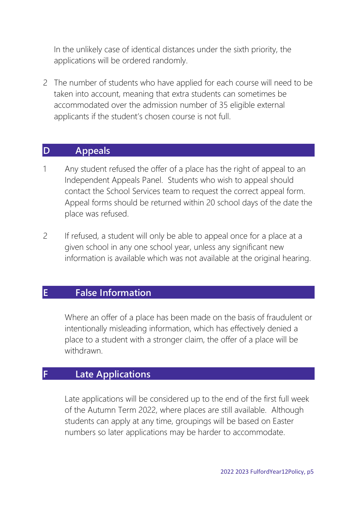In the unlikely case of identical distances under the sixth priority, the applications will be ordered randomly.

2 The number of students who have applied for each course will need to be taken into account, meaning that extra students can sometimes be accommodated over the admission number of 35 eligible external applicants if the student's chosen course is not full.

#### **D Appeals**

- 1 Any student refused the offer of a place has the right of appeal to an Independent Appeals Panel. Students who wish to appeal should contact the School Services team to request the correct appeal form. Appeal forms should be returned within 20 school days of the date the place was refused.
- 2 If refused, a student will only be able to appeal once for a place at a given school in any one school year, unless any significant new information is available which was not available at the original hearing.

## **E False Information**

Where an offer of a place has been made on the basis of fraudulent or intentionally misleading information, which has effectively denied a place to a student with a stronger claim, the offer of a place will be withdrawn.

## **F Late Applications**

Late applications will be considered up to the end of the first full week of the Autumn Term 2022, where places are still available. Although students can apply at any time, groupings will be based on Easter numbers so later applications may be harder to accommodate.